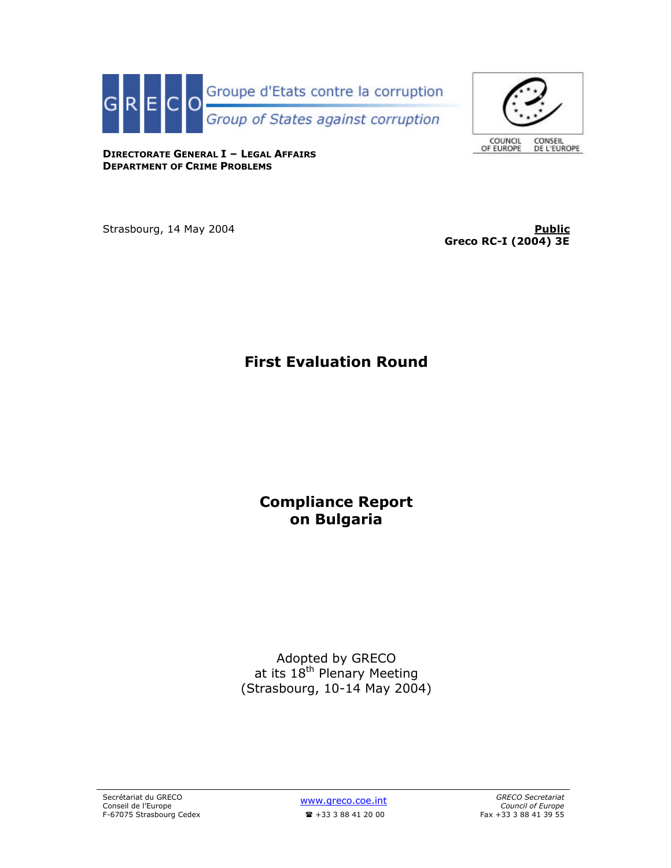



**DIRECTORATE GENERAL I – LEGAL AFFAIRS DEPARTMENT OF CRIME PROBLEMS**

Strasbourg, 14 May 2004 **Public Public Public** 

**Greco RC-I (2004) 3E**

# **First Evaluation Round**

**Compliance Report on Bulgaria**

Adopted by GRECO at its  $18^{th}$  Plenary Meeting (Strasbourg, 10-14 May 2004)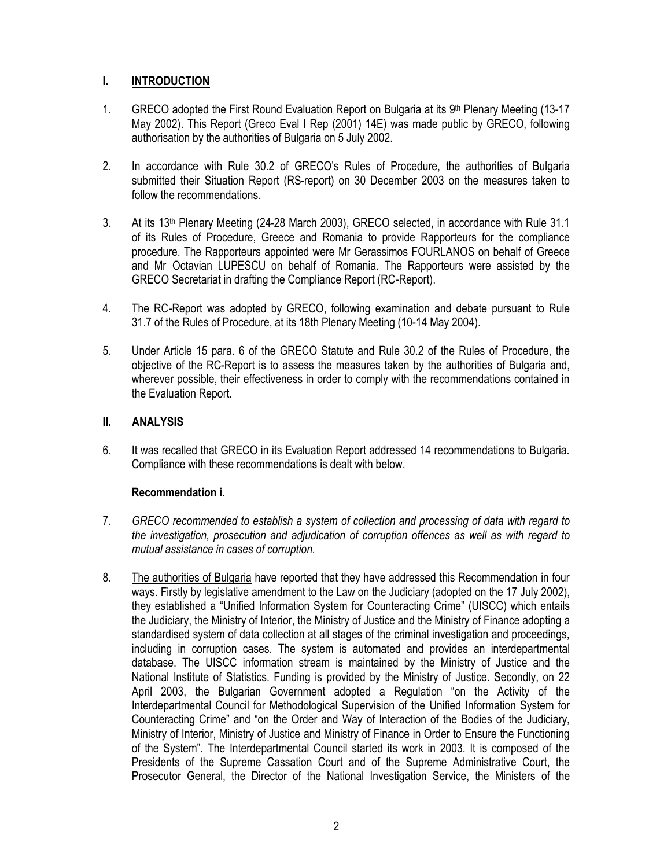# **I. INTRODUCTION**

- 1. GRECO adopted the First Round Evaluation Report on Bulgaria at its  $9<sup>th</sup>$  Plenary Meeting (13-17 May 2002). This Report (Greco Eval I Rep (2001) 14E) was made public by GRECO, following authorisation by the authorities of Bulgaria on 5 July 2002.
- 2. In accordance with Rule 30.2 of GRECO's Rules of Procedure, the authorities of Bulgaria submitted their Situation Report (RS-report) on 30 December 2003 on the measures taken to follow the recommendations.
- 3. At its 13th Plenary Meeting (24-28 March 2003), GRECO selected, in accordance with Rule 31.1 of its Rules of Procedure, Greece and Romania to provide Rapporteurs for the compliance procedure. The Rapporteurs appointed were Mr Gerassimos FOURLANOS on behalf of Greece and Mr Octavian LUPESCU on behalf of Romania. The Rapporteurs were assisted by the GRECO Secretariat in drafting the Compliance Report (RC-Report).
- 4. The RC-Report was adopted by GRECO, following examination and debate pursuant to Rule 31.7 of the Rules of Procedure, at its 18th Plenary Meeting (10-14 May 2004).
- 5. Under Article 15 para. 6 of the GRECO Statute and Rule 30.2 of the Rules of Procedure, the objective of the RC-Report is to assess the measures taken by the authorities of Bulgaria and, wherever possible, their effectiveness in order to comply with the recommendations contained in the Evaluation Report.

# **II. ANALYSIS**

6. It was recalled that GRECO in its Evaluation Report addressed 14 recommendations to Bulgaria. Compliance with these recommendations is dealt with below.

# **Recommendation i.**

- 7. *GRECO recommended to establish a system of collection and processing of data with regard to the investigation, prosecution and adjudication of corruption offences as well as with regard to mutual assistance in cases of corruption.*
- 8. The authorities of Bulgaria have reported that they have addressed this Recommendation in four ways. Firstly by legislative amendment to the Law on the Judiciary (adopted on the 17 July 2002), they established a "Unified Information System for Counteracting Crime" (UISCC) which entails the Judiciary, the Ministry of Interior, the Ministry of Justice and the Ministry of Finance adopting a standardised system of data collection at all stages of the criminal investigation and proceedings, including in corruption cases. The system is automated and provides an interdepartmental database. The UISCC information stream is maintained by the Ministry of Justice and the National Institute of Statistics. Funding is provided by the Ministry of Justice. Secondly, on 22 April 2003, the Bulgarian Government adopted a Regulation "on the Activity of the Interdepartmental Council for Methodological Supervision of the Unified Information System for Counteracting Crime" and "on the Order and Way of Interaction of the Bodies of the Judiciary, Ministry of Interior, Ministry of Justice and Ministry of Finance in Order to Ensure the Functioning of the System". The Interdepartmental Council started its work in 2003. It is composed of the Presidents of the Supreme Cassation Court and of the Supreme Administrative Court, the Prosecutor General, the Director of the National Investigation Service, the Ministers of the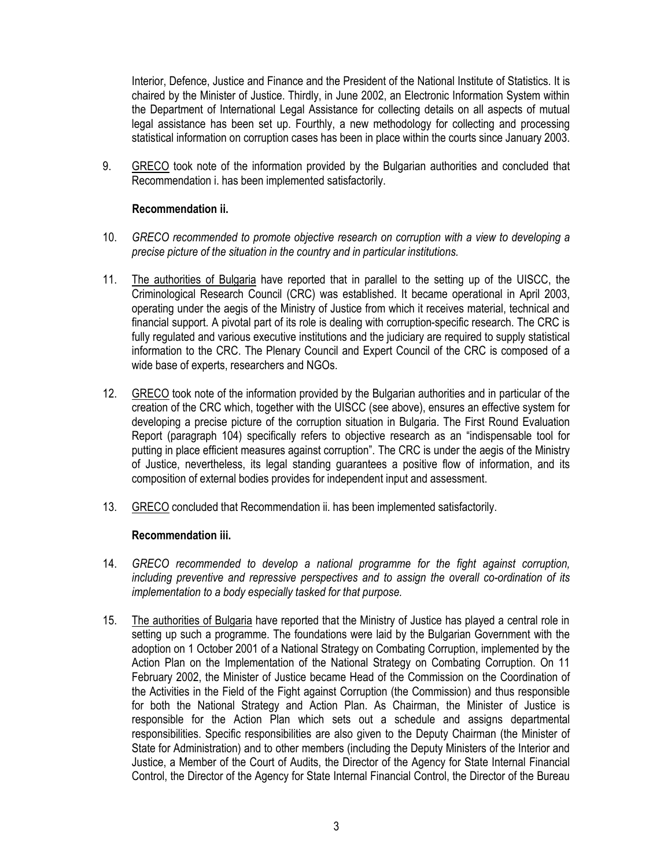Interior, Defence, Justice and Finance and the President of the National Institute of Statistics. It is chaired by the Minister of Justice. Thirdly, in June 2002, an Electronic Information System within the Department of International Legal Assistance for collecting details on all aspects of mutual legal assistance has been set up. Fourthly, a new methodology for collecting and processing statistical information on corruption cases has been in place within the courts since January 2003.

9. GRECO took note of the information provided by the Bulgarian authorities and concluded that Recommendation i. has been implemented satisfactorily.

# **Recommendation ii.**

- 10. *GRECO recommended to promote objective research on corruption with a view to developing a precise picture of the situation in the country and in particular institutions.*
- 11. The authorities of Bulgaria have reported that in parallel to the setting up of the UISCC, the Criminological Research Council (CRC) was established. It became operational in April 2003, operating under the aegis of the Ministry of Justice from which it receives material, technical and financial support. A pivotal part of its role is dealing with corruption-specific research. The CRC is fully regulated and various executive institutions and the judiciary are required to supply statistical information to the CRC. The Plenary Council and Expert Council of the CRC is composed of a wide base of experts, researchers and NGOs.
- 12. GRECO took note of the information provided by the Bulgarian authorities and in particular of the creation of the CRC which, together with the UISCC (see above), ensures an effective system for developing a precise picture of the corruption situation in Bulgaria. The First Round Evaluation Report (paragraph 104) specifically refers to objective research as an "indispensable tool for putting in place efficient measures against corruption". The CRC is under the aegis of the Ministry of Justice, nevertheless, its legal standing guarantees a positive flow of information, and its composition of external bodies provides for independent input and assessment.
- 13. GRECO concluded that Recommendation ii. has been implemented satisfactorily.

#### **Recommendation iii.**

- 14. *GRECO recommended to develop a national programme for the fight against corruption, including preventive and repressive perspectives and to assign the overall co-ordination of its implementation to a body especially tasked for that purpose.*
- 15. The authorities of Bulgaria have reported that the Ministry of Justice has played a central role in setting up such a programme. The foundations were laid by the Bulgarian Government with the adoption on 1 October 2001 of a National Strategy on Combating Corruption, implemented by the Action Plan on the Implementation of the National Strategy on Combating Corruption. On 11 February 2002, the Minister of Justice became Head of the Commission on the Coordination of the Activities in the Field of the Fight against Corruption (the Commission) and thus responsible for both the National Strategy and Action Plan. As Chairman, the Minister of Justice is responsible for the Action Plan which sets out a schedule and assigns departmental responsibilities. Specific responsibilities are also given to the Deputy Chairman (the Minister of State for Administration) and to other members (including the Deputy Ministers of the Interior and Justice, a Member of the Court of Audits, the Director of the Agency for State Internal Financial Control, the Director of the Agency for State Internal Financial Control, the Director of the Bureau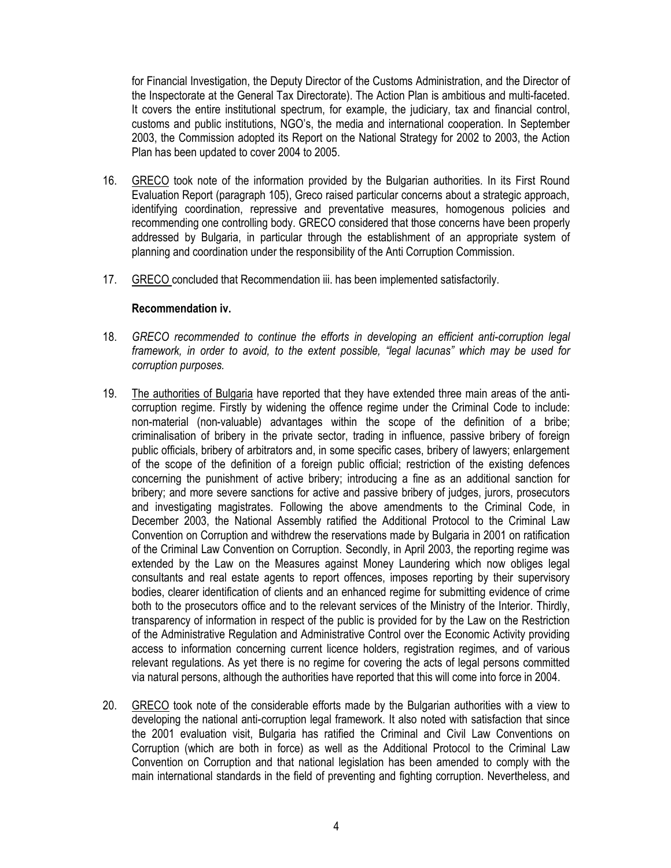for Financial Investigation, the Deputy Director of the Customs Administration, and the Director of the Inspectorate at the General Tax Directorate). The Action Plan is ambitious and multi-faceted. It covers the entire institutional spectrum, for example, the judiciary, tax and financial control, customs and public institutions, NGO's, the media and international cooperation. In September 2003, the Commission adopted its Report on the National Strategy for 2002 to 2003, the Action Plan has been updated to cover 2004 to 2005.

- 16. GRECO took note of the information provided by the Bulgarian authorities. In its First Round Evaluation Report (paragraph 105), Greco raised particular concerns about a strategic approach, identifying coordination, repressive and preventative measures, homogenous policies and recommending one controlling body. GRECO considered that those concerns have been properly addressed by Bulgaria, in particular through the establishment of an appropriate system of planning and coordination under the responsibility of the Anti Corruption Commission.
- 17. GRECO concluded that Recommendation iii. has been implemented satisfactorily.

#### **Recommendation iv.**

- 18. *GRECO recommended to continue the efforts in developing an efficient anti-corruption legal framework, in order to avoid, to the extent possible, "legal lacunas" which may be used for corruption purposes.*
- 19. The authorities of Bulgaria have reported that they have extended three main areas of the anticorruption regime. Firstly by widening the offence regime under the Criminal Code to include: non-material (non-valuable) advantages within the scope of the definition of a bribe; criminalisation of bribery in the private sector, trading in influence, passive bribery of foreign public officials, bribery of arbitrators and, in some specific cases, bribery of lawyers; enlargement of the scope of the definition of a foreign public official; restriction of the existing defences concerning the punishment of active bribery; introducing a fine as an additional sanction for bribery; and more severe sanctions for active and passive bribery of judges, jurors, prosecutors and investigating magistrates. Following the above amendments to the Criminal Code, in December 2003, the National Assembly ratified the Additional Protocol to the Criminal Law Convention on Corruption and withdrew the reservations made by Bulgaria in 2001 on ratification of the Criminal Law Convention on Corruption. Secondly, in April 2003, the reporting regime was extended by the Law on the Measures against Money Laundering which now obliges legal consultants and real estate agents to report offences, imposes reporting by their supervisory bodies, clearer identification of clients and an enhanced regime for submitting evidence of crime both to the prosecutors office and to the relevant services of the Ministry of the Interior. Thirdly, transparency of information in respect of the public is provided for by the Law on the Restriction of the Administrative Regulation and Administrative Control over the Economic Activity providing access to information concerning current licence holders, registration regimes, and of various relevant regulations. As yet there is no regime for covering the acts of legal persons committed via natural persons, although the authorities have reported that this will come into force in 2004.
- 20. GRECO took note of the considerable efforts made by the Bulgarian authorities with a view to developing the national anti-corruption legal framework. It also noted with satisfaction that since the 2001 evaluation visit, Bulgaria has ratified the Criminal and Civil Law Conventions on Corruption (which are both in force) as well as the Additional Protocol to the Criminal Law Convention on Corruption and that national legislation has been amended to comply with the main international standards in the field of preventing and fighting corruption. Nevertheless, and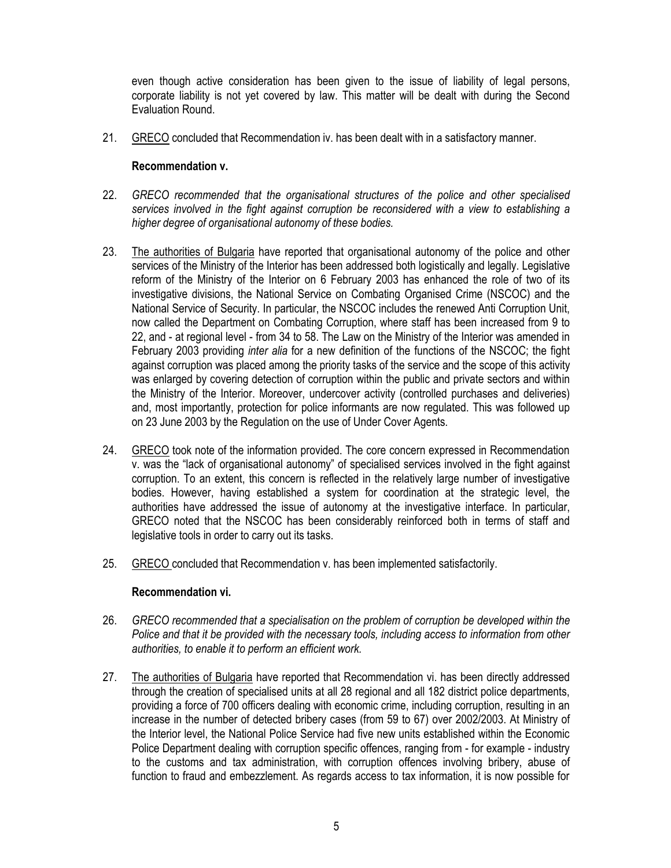even though active consideration has been given to the issue of liability of legal persons, corporate liability is not yet covered by law. This matter will be dealt with during the Second Evaluation Round.

21. GRECO concluded that Recommendation iv. has been dealt with in a satisfactory manner.

## **Recommendation v.**

- 22. *GRECO recommended that the organisational structures of the police and other specialised services involved in the fight against corruption be reconsidered with a view to establishing a higher degree of organisational autonomy of these bodies.*
- 23. The authorities of Bulgaria have reported that organisational autonomy of the police and other services of the Ministry of the Interior has been addressed both logistically and legally. Legislative reform of the Ministry of the Interior on 6 February 2003 has enhanced the role of two of its investigative divisions, the National Service on Combating Organised Crime (NSCOC) and the National Service of Security. In particular, the NSCOC includes the renewed Anti Corruption Unit, now called the Department on Combating Corruption, where staff has been increased from 9 to 22, and - at regional level - from 34 to 58. The Law on the Ministry of the Interior was amended in February 2003 providing *inter alia* for a new definition of the functions of the NSCOC; the fight against corruption was placed among the priority tasks of the service and the scope of this activity was enlarged by covering detection of corruption within the public and private sectors and within the Ministry of the Interior. Moreover, undercover activity (controlled purchases and deliveries) and, most importantly, protection for police informants are now regulated. This was followed up on 23 June 2003 by the Regulation on the use of Under Cover Agents.
- 24. GRECO took note of the information provided. The core concern expressed in Recommendation v. was the "lack of organisational autonomy" of specialised services involved in the fight against corruption. To an extent, this concern is reflected in the relatively large number of investigative bodies. However, having established a system for coordination at the strategic level, the authorities have addressed the issue of autonomy at the investigative interface. In particular, GRECO noted that the NSCOC has been considerably reinforced both in terms of staff and legislative tools in order to carry out its tasks.
- 25. GRECO concluded that Recommendation v. has been implemented satisfactorily.

# **Recommendation vi.**

- 26. *GRECO recommended that a specialisation on the problem of corruption be developed within the Police and that it be provided with the necessary tools, including access to information from other authorities, to enable it to perform an efficient work.*
- 27. The authorities of Bulgaria have reported that Recommendation vi. has been directly addressed through the creation of specialised units at all 28 regional and all 182 district police departments, providing a force of 700 officers dealing with economic crime, including corruption, resulting in an increase in the number of detected bribery cases (from 59 to 67) over 2002/2003. At Ministry of the Interior level, the National Police Service had five new units established within the Economic Police Department dealing with corruption specific offences, ranging from - for example - industry to the customs and tax administration, with corruption offences involving bribery, abuse of function to fraud and embezzlement. As regards access to tax information, it is now possible for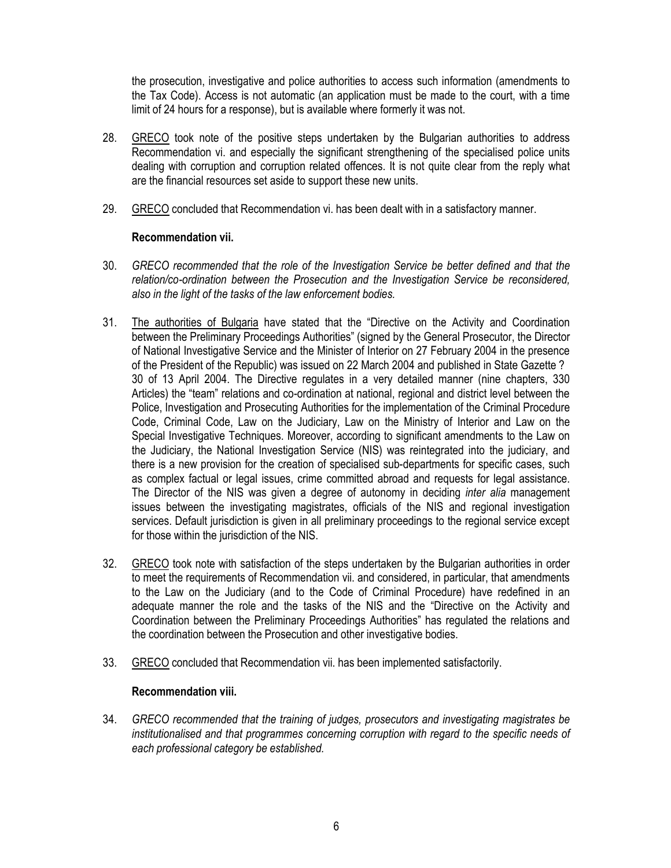the prosecution, investigative and police authorities to access such information (amendments to the Tax Code). Access is not automatic (an application must be made to the court, with a time limit of 24 hours for a response), but is available where formerly it was not.

- 28. GRECO took note of the positive steps undertaken by the Bulgarian authorities to address Recommendation vi. and especially the significant strengthening of the specialised police units dealing with corruption and corruption related offences. It is not quite clear from the reply what are the financial resources set aside to support these new units.
- 29. GRECO concluded that Recommendation vi. has been dealt with in a satisfactory manner.

#### **Recommendation vii.**

- 30. *GRECO recommended that the role of the Investigation Service be better defined and that the relation/co-ordination between the Prosecution and the Investigation Service be reconsidered, also in the light of the tasks of the law enforcement bodies.*
- 31. The authorities of Bulgaria have stated that the "Directive on the Activity and Coordination between the Preliminary Proceedings Authorities" (signed by the General Prosecutor, the Director of National Investigative Service and the Minister of Interior on 27 February 2004 in the presence of the President of the Republic) was issued on 22 March 2004 and published in State Gazette ? 30 of 13 April 2004. The Directive regulates in a very detailed manner (nine chapters, 330 Articles) the "team" relations and co-ordination at national, regional and district level between the Police, Investigation and Prosecuting Authorities for the implementation of the Criminal Procedure Code, Criminal Code, Law on the Judiciary, Law on the Ministry of Interior and Law on the Special Investigative Techniques. Moreover, according to significant amendments to the Law on the Judiciary, the National Investigation Service (NIS) was reintegrated into the judiciary, and there is a new provision for the creation of specialised sub-departments for specific cases, such as complex factual or legal issues, crime committed abroad and requests for legal assistance. The Director of the NIS was given a degree of autonomy in deciding *inter alia* management issues between the investigating magistrates, officials of the NIS and regional investigation services. Default jurisdiction is given in all preliminary proceedings to the regional service except for those within the jurisdiction of the NIS.
- 32. GRECO took note with satisfaction of the steps undertaken by the Bulgarian authorities in order to meet the requirements of Recommendation vii. and considered, in particular, that amendments to the Law on the Judiciary (and to the Code of Criminal Procedure) have redefined in an adequate manner the role and the tasks of the NIS and the "Directive on the Activity and Coordination between the Preliminary Proceedings Authorities" has regulated the relations and the coordination between the Prosecution and other investigative bodies.
- 33. GRECO concluded that Recommendation vii. has been implemented satisfactorily.

#### **Recommendation viii.**

34. *GRECO recommended that the training of judges, prosecutors and investigating magistrates be institutionalised and that programmes concerning corruption with regard to the specific needs of each professional category be established.*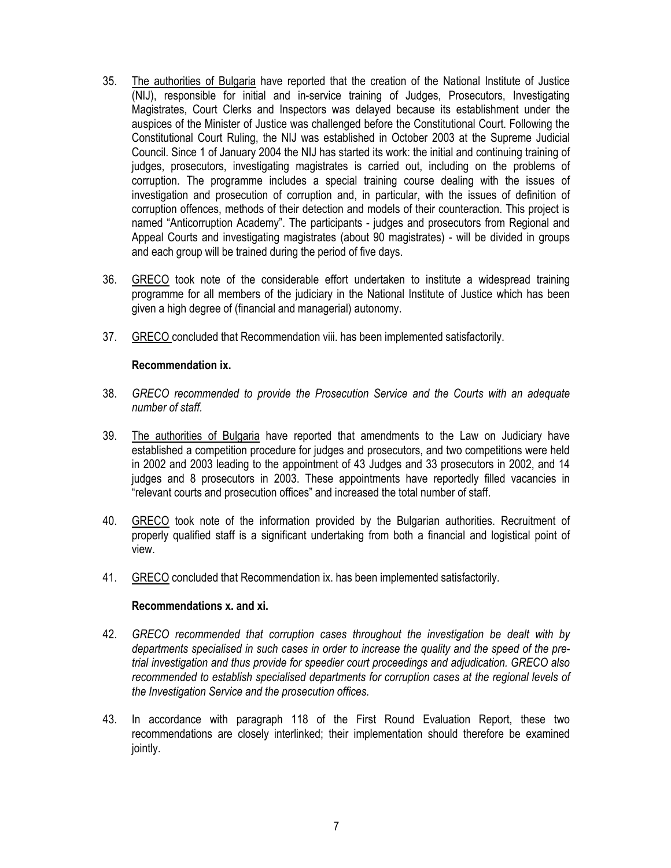- 35. The authorities of Bulgaria have reported that the creation of the National Institute of Justice (NIJ), responsible for initial and in-service training of Judges, Prosecutors, Investigating Magistrates, Court Clerks and Inspectors was delayed because its establishment under the auspices of the Minister of Justice was challenged before the Constitutional Court. Following the Constitutional Court Ruling, the NIJ was established in October 2003 at the Supreme Judicial Council. Since 1 of January 2004 the NIJ has started its work: the initial and continuing training of judges, prosecutors, investigating magistrates is carried out, including on the problems of corruption. The programme includes a special training course dealing with the issues of investigation and prosecution of corruption and, in particular, with the issues of definition of corruption offences, methods of their detection and models of their counteraction. This project is named "Anticorruption Academy". The participants - judges and prosecutors from Regional and Appeal Courts and investigating magistrates (about 90 magistrates) - will be divided in groups and each group will be trained during the period of five days.
- 36. GRECO took note of the considerable effort undertaken to institute a widespread training programme for all members of the judiciary in the National Institute of Justice which has been given a high degree of (financial and managerial) autonomy.
- 37. GRECO concluded that Recommendation viii. has been implemented satisfactorily.

#### **Recommendation ix.**

- 38. *GRECO recommended to provide the Prosecution Service and the Courts with an adequate number of staff.*
- 39. The authorities of Bulgaria have reported that amendments to the Law on Judiciary have established a competition procedure for judges and prosecutors, and two competitions were held in 2002 and 2003 leading to the appointment of 43 Judges and 33 prosecutors in 2002, and 14 judges and 8 prosecutors in 2003. These appointments have reportedly filled vacancies in "relevant courts and prosecution offices" and increased the total number of staff.
- 40. GRECO took note of the information provided by the Bulgarian authorities. Recruitment of properly qualified staff is a significant undertaking from both a financial and logistical point of view.
- 41. GRECO concluded that Recommendation ix. has been implemented satisfactorily.

#### **Recommendations x. and xi.**

- 42. *GRECO recommended that corruption cases throughout the investigation be dealt with by departments specialised in such cases in order to increase the quality and the speed of the pretrial investigation and thus provide for speedier court proceedings and adjudication. GRECO also recommended to establish specialised departments for corruption cases at the regional levels of the Investigation Service and the prosecution offices.*
- 43. In accordance with paragraph 118 of the First Round Evaluation Report, these two recommendations are closely interlinked; their implementation should therefore be examined jointly.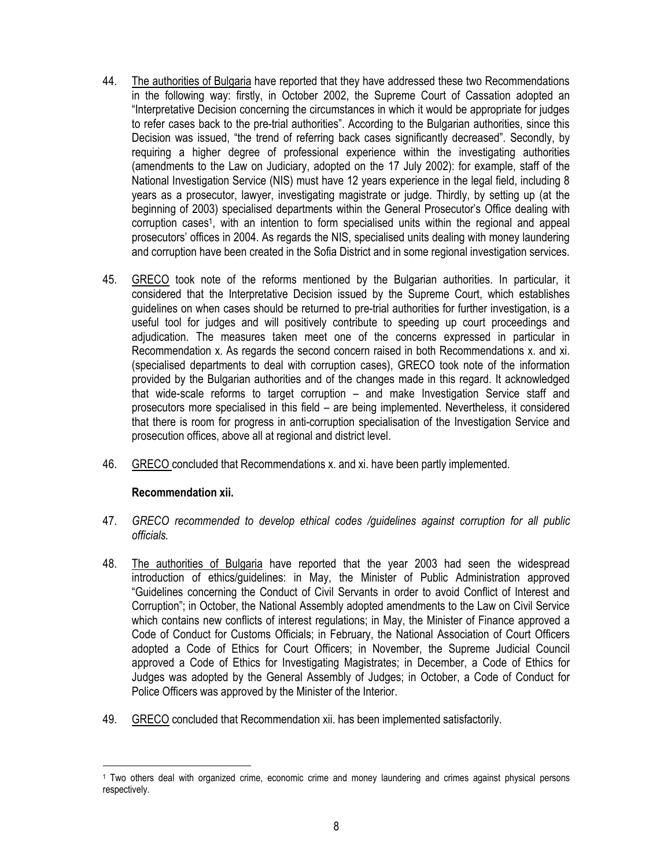- 44. The authorities of Bulgaria have reported that they have addressed these two Recommendations in the following way: firstly, in October 2002, the Supreme Court of Cassation adopted an "Interpretative Decision concerning the circumstances in which it would be appropriate for judges to refer cases back to the pre-trial authorities". According to the Bulgarian authorities, since this Decision was issued, "the trend of referring back cases significantly decreased". Secondly, by requiring a higher degree of professional experience within the investigating authorities (amendments to the Law on Judiciary, adopted on the 17 July 2002): for example, staff of the National Investigation Service (NIS) must have 12 years experience in the legal field, including 8 years as a prosecutor, lawyer, investigating magistrate or judge. Thirdly, by setting up (at the beginning of 2003) specialised departments within the General Prosecutor's Office dealing with corruption cases<sup>1</sup>, with an intention to form specialised units within the regional and appeal prosecutors' offices in 2004. As regards the NIS, specialised units dealing with money laundering and corruption have been created in the Sofia District and in some regional investigation services.
- 45. GRECO took note of the reforms mentioned by the Bulgarian authorities. In particular, it considered that the Interpretative Decision issued by the Supreme Court, which establishes guidelines on when cases should be returned to pre-trial authorities for further investigation, is a useful tool for judges and will positively contribute to speeding up court proceedings and adjudication. The measures taken meet one of the concerns expressed in particular in Recommendation x. As regards the second concern raised in both Recommendations x. and xi. (specialised departments to deal with corruption cases), GRECO took note of the information provided by the Bulgarian authorities and of the changes made in this regard. It acknowledged that wide-scale reforms to target corruption – and make Investigation Service staff and prosecutors more specialised in this field – are being implemented. Nevertheless, it considered that there is room for progress in anti-corruption specialisation of the Investigation Service and prosecution offices, above all at regional and district level.
- 46. GRECO concluded that Recommendations x. and xi. have been partly implemented.

# **Recommendation xii.**

 $\overline{\phantom{a}}$ 

- 47. *GRECO recommended to develop ethical codes /guidelines against corruption for all public officials.*
- 48. The authorities of Bulgaria have reported that the year 2003 had seen the widespread introduction of ethics/guidelines: in May, the Minister of Public Administration approved "Guidelines concerning the Conduct of Civil Servants in order to avoid Conflict of Interest and Corruption"; in October, the National Assembly adopted amendments to the Law on Civil Service which contains new conflicts of interest regulations; in May, the Minister of Finance approved a Code of Conduct for Customs Officials; in February, the National Association of Court Officers adopted a Code of Ethics for Court Officers; in November, the Supreme Judicial Council approved a Code of Ethics for Investigating Magistrates; in December, a Code of Ethics for Judges was adopted by the General Assembly of Judges; in October, a Code of Conduct for Police Officers was approved by the Minister of the Interior.
- 49. GRECO concluded that Recommendation xii. has been implemented satisfactorily.

<sup>1</sup> Two others deal with organized crime, economic crime and money laundering and crimes against physical persons respectively.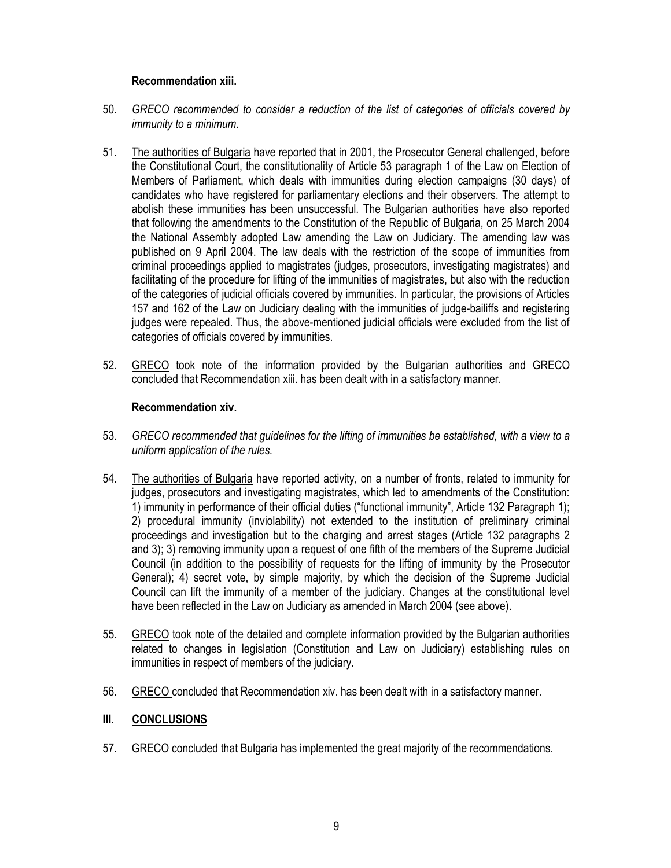# **Recommendation xiii.**

- 50. *GRECO recommended to consider a reduction of the list of categories of officials covered by immunity to a minimum.*
- 51. The authorities of Bulgaria have reported that in 2001, the Prosecutor General challenged, before the Constitutional Court, the constitutionality of Article 53 paragraph 1 of the Law on Election of Members of Parliament, which deals with immunities during election campaigns (30 days) of candidates who have registered for parliamentary elections and their observers. The attempt to abolish these immunities has been unsuccessful. The Bulgarian authorities have also reported that following the amendments to the Constitution of the Republic of Bulgaria, on 25 March 2004 the National Assembly adopted Law amending the Law on Judiciary. The amending law was published on 9 April 2004. The law deals with the restriction of the scope of immunities from criminal proceedings applied to magistrates (judges, prosecutors, investigating magistrates) and facilitating of the procedure for lifting of the immunities of magistrates, but also with the reduction of the categories of judicial officials covered by immunities. In particular, the provisions of Articles 157 and 162 of the Law on Judiciary dealing with the immunities of judge-bailiffs and registering judges were repealed. Thus, the above-mentioned judicial officials were excluded from the list of categories of officials covered by immunities.
- 52. GRECO took note of the information provided by the Bulgarian authorities and GRECO concluded that Recommendation xiii. has been dealt with in a satisfactory manner.

#### **Recommendation xiv.**

- 53. *GRECO recommended that guidelines for the lifting of immunities be established, with a view to a uniform application of the rules.*
- 54. The authorities of Bulgaria have reported activity, on a number of fronts, related to immunity for judges, prosecutors and investigating magistrates, which led to amendments of the Constitution: 1) immunity in performance of their official duties ("functional immunity", Article 132 Paragraph 1); 2) procedural immunity (inviolability) not extended to the institution of preliminary criminal proceedings and investigation but to the charging and arrest stages (Article 132 paragraphs 2 and 3); 3) removing immunity upon a request of one fifth of the members of the Supreme Judicial Council (in addition to the possibility of requests for the lifting of immunity by the Prosecutor General); 4) secret vote, by simple majority, by which the decision of the Supreme Judicial Council can lift the immunity of a member of the judiciary. Changes at the constitutional level have been reflected in the Law on Judiciary as amended in March 2004 (see above).
- 55. GRECO took note of the detailed and complete information provided by the Bulgarian authorities related to changes in legislation (Constitution and Law on Judiciary) establishing rules on immunities in respect of members of the judiciary.
- 56. GRECO concluded that Recommendation xiv. has been dealt with in a satisfactory manner.

# **III. CONCLUSIONS**

57. GRECO concluded that Bulgaria has implemented the great majority of the recommendations.